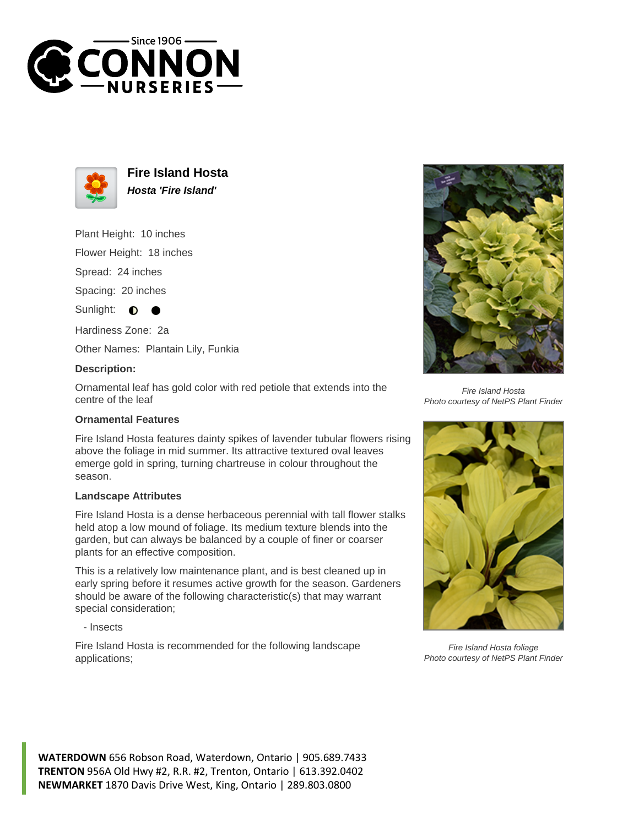



**Fire Island Hosta Hosta 'Fire Island'**

Plant Height: 10 inches

Flower Height: 18 inches

Spread: 24 inches

Spacing: 20 inches

Sunlight:  $\bullet$ 

Hardiness Zone: 2a

Other Names: Plantain Lily, Funkia

## **Description:**

Ornamental leaf has gold color with red petiole that extends into the centre of the leaf

## **Ornamental Features**

Fire Island Hosta features dainty spikes of lavender tubular flowers rising above the foliage in mid summer. Its attractive textured oval leaves emerge gold in spring, turning chartreuse in colour throughout the season.

## **Landscape Attributes**

Fire Island Hosta is a dense herbaceous perennial with tall flower stalks held atop a low mound of foliage. Its medium texture blends into the garden, but can always be balanced by a couple of finer or coarser plants for an effective composition.

This is a relatively low maintenance plant, and is best cleaned up in early spring before it resumes active growth for the season. Gardeners should be aware of the following characteristic(s) that may warrant special consideration;

- Insects

Fire Island Hosta is recommended for the following landscape applications;



Fire Island Hosta Photo courtesy of NetPS Plant Finder



Fire Island Hosta foliage Photo courtesy of NetPS Plant Finder

**WATERDOWN** 656 Robson Road, Waterdown, Ontario | 905.689.7433 **TRENTON** 956A Old Hwy #2, R.R. #2, Trenton, Ontario | 613.392.0402 **NEWMARKET** 1870 Davis Drive West, King, Ontario | 289.803.0800